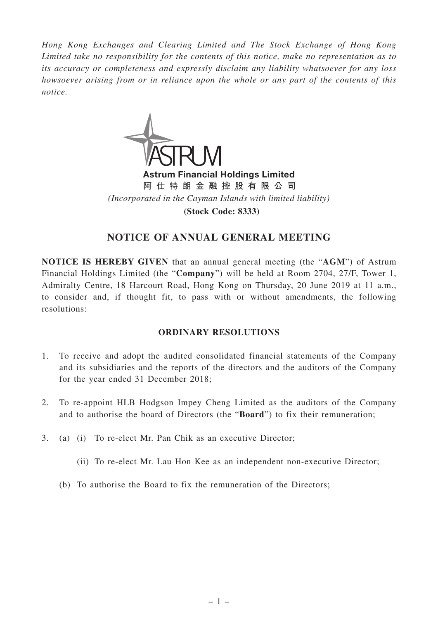*Hong Kong Exchanges and Clearing Limited and The Stock Exchange of Hong Kong Limited take no responsibility for the contents of this notice, make no representation as to its accuracy or completeness and expressly disclaim any liability whatsoever for any loss howsoever arising from or in reliance upon the whole or any part of the contents of this notice.*



Astrum Financial Holdings Limited **阿仕特朗金融控股有限公司** *(Incorporated in the Cayman Islands with limited liability)* **(Stock Code: 8333)**

# **NOTICE OF ANNUAL GENERAL MEETING**

**NOTICE IS HEREBY GIVEN** that an annual general meeting (the "**AGM**") of Astrum Financial Holdings Limited (the "**Company**") will be held at Room 2704, 27/F, Tower 1, Admiralty Centre, 18 Harcourt Road, Hong Kong on Thursday, 20 June 2019 at 11 a.m., to consider and, if thought fit, to pass with or without amendments, the following resolutions:

## **ORDINARY RESOLUTIONS**

- 1. To receive and adopt the audited consolidated financial statements of the Company and its subsidiaries and the reports of the directors and the auditors of the Company for the year ended 31 December 2018;
- 2. To re-appoint HLB Hodgson Impey Cheng Limited as the auditors of the Company and to authorise the board of Directors (the "**Board**") to fix their remuneration;
- 3. (a) (i) To re-elect Mr. Pan Chik as an executive Director;
	- (ii) To re-elect Mr. Lau Hon Kee as an independent non-executive Director;
	- (b) To authorise the Board to fix the remuneration of the Directors;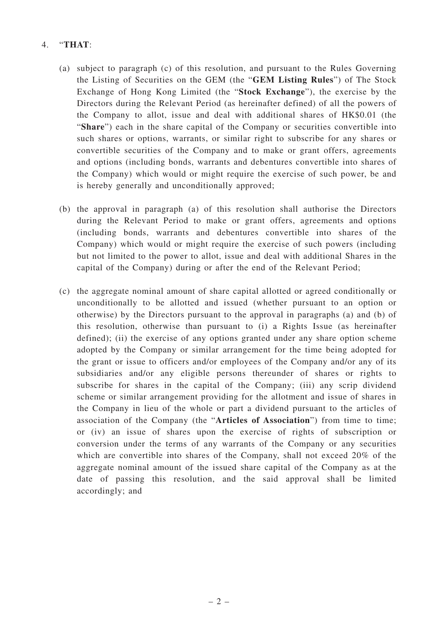### 4. "**THAT**:

- (a) subject to paragraph (c) of this resolution, and pursuant to the Rules Governing the Listing of Securities on the GEM (the "**GEM Listing Rules**") of The Stock Exchange of Hong Kong Limited (the "**Stock Exchange**"), the exercise by the Directors during the Relevant Period (as hereinafter defined) of all the powers of the Company to allot, issue and deal with additional shares of HK\$0.01 (the "**Share**") each in the share capital of the Company or securities convertible into such shares or options, warrants, or similar right to subscribe for any shares or convertible securities of the Company and to make or grant offers, agreements and options (including bonds, warrants and debentures convertible into shares of the Company) which would or might require the exercise of such power, be and is hereby generally and unconditionally approved;
- (b) the approval in paragraph (a) of this resolution shall authorise the Directors during the Relevant Period to make or grant offers, agreements and options (including bonds, warrants and debentures convertible into shares of the Company) which would or might require the exercise of such powers (including but not limited to the power to allot, issue and deal with additional Shares in the capital of the Company) during or after the end of the Relevant Period;
- (c) the aggregate nominal amount of share capital allotted or agreed conditionally or unconditionally to be allotted and issued (whether pursuant to an option or otherwise) by the Directors pursuant to the approval in paragraphs (a) and (b) of this resolution, otherwise than pursuant to (i) a Rights Issue (as hereinafter defined); (ii) the exercise of any options granted under any share option scheme adopted by the Company or similar arrangement for the time being adopted for the grant or issue to officers and/or employees of the Company and/or any of its subsidiaries and/or any eligible persons thereunder of shares or rights to subscribe for shares in the capital of the Company; (iii) any scrip dividend scheme or similar arrangement providing for the allotment and issue of shares in the Company in lieu of the whole or part a dividend pursuant to the articles of association of the Company (the "**Articles of Association**") from time to time; or (iv) an issue of shares upon the exercise of rights of subscription or conversion under the terms of any warrants of the Company or any securities which are convertible into shares of the Company, shall not exceed 20% of the aggregate nominal amount of the issued share capital of the Company as at the date of passing this resolution, and the said approval shall be limited accordingly; and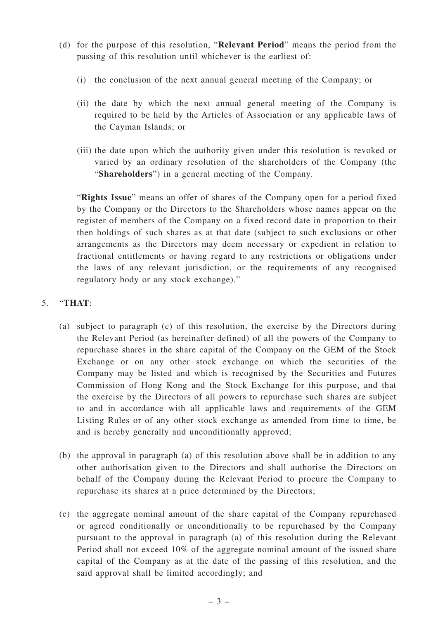- (d) for the purpose of this resolution, "**Relevant Period**" means the period from the passing of this resolution until whichever is the earliest of:
	- (i) the conclusion of the next annual general meeting of the Company; or
	- (ii) the date by which the next annual general meeting of the Company is required to be held by the Articles of Association or any applicable laws of the Cayman Islands; or
	- (iii) the date upon which the authority given under this resolution is revoked or varied by an ordinary resolution of the shareholders of the Company (the "**Shareholders**") in a general meeting of the Company.

"**Rights Issue**" means an offer of shares of the Company open for a period fixed by the Company or the Directors to the Shareholders whose names appear on the register of members of the Company on a fixed record date in proportion to their then holdings of such shares as at that date (subject to such exclusions or other arrangements as the Directors may deem necessary or expedient in relation to fractional entitlements or having regard to any restrictions or obligations under the laws of any relevant jurisdiction, or the requirements of any recognised regulatory body or any stock exchange)."

## 5. "**THAT**:

- (a) subject to paragraph (c) of this resolution, the exercise by the Directors during the Relevant Period (as hereinafter defined) of all the powers of the Company to repurchase shares in the share capital of the Company on the GEM of the Stock Exchange or on any other stock exchange on which the securities of the Company may be listed and which is recognised by the Securities and Futures Commission of Hong Kong and the Stock Exchange for this purpose, and that the exercise by the Directors of all powers to repurchase such shares are subject to and in accordance with all applicable laws and requirements of the GEM Listing Rules or of any other stock exchange as amended from time to time, be and is hereby generally and unconditionally approved;
- (b) the approval in paragraph (a) of this resolution above shall be in addition to any other authorisation given to the Directors and shall authorise the Directors on behalf of the Company during the Relevant Period to procure the Company to repurchase its shares at a price determined by the Directors;
- (c) the aggregate nominal amount of the share capital of the Company repurchased or agreed conditionally or unconditionally to be repurchased by the Company pursuant to the approval in paragraph (a) of this resolution during the Relevant Period shall not exceed 10% of the aggregate nominal amount of the issued share capital of the Company as at the date of the passing of this resolution, and the said approval shall be limited accordingly; and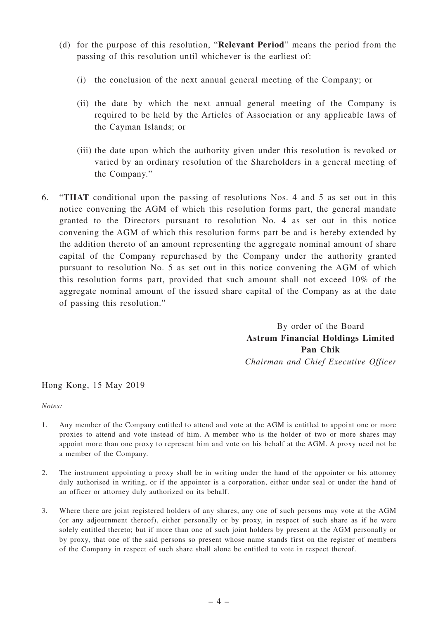- (d) for the purpose of this resolution, "**Relevant Period**" means the period from the passing of this resolution until whichever is the earliest of:
	- (i) the conclusion of the next annual general meeting of the Company; or
	- (ii) the date by which the next annual general meeting of the Company is required to be held by the Articles of Association or any applicable laws of the Cayman Islands; or
	- (iii) the date upon which the authority given under this resolution is revoked or varied by an ordinary resolution of the Shareholders in a general meeting of the Company."
- 6. "**THAT** conditional upon the passing of resolutions Nos. 4 and 5 as set out in this notice convening the AGM of which this resolution forms part, the general mandate granted to the Directors pursuant to resolution No. 4 as set out in this notice convening the AGM of which this resolution forms part be and is hereby extended by the addition thereto of an amount representing the aggregate nominal amount of share capital of the Company repurchased by the Company under the authority granted pursuant to resolution No. 5 as set out in this notice convening the AGM of which this resolution forms part, provided that such amount shall not exceed 10% of the aggregate nominal amount of the issued share capital of the Company as at the date of passing this resolution."

By order of the Board **Astrum Financial Holdings Limited Pan Chik** *Chairman and Chief Executive Officer*

Hong Kong, 15 May 2019

*Notes:*

- 1. Any member of the Company entitled to attend and vote at the AGM is entitled to appoint one or more proxies to attend and vote instead of him. A member who is the holder of two or more shares may appoint more than one proxy to represent him and vote on his behalf at the AGM. A proxy need not be a member of the Company.
- 2. The instrument appointing a proxy shall be in writing under the hand of the appointer or his attorney duly authorised in writing, or if the appointer is a corporation, either under seal or under the hand of an officer or attorney duly authorized on its behalf.
- 3. Where there are joint registered holders of any shares, any one of such persons may vote at the AGM (or any adjournment thereof), either personally or by proxy, in respect of such share as if he were solely entitled thereto; but if more than one of such joint holders by present at the AGM personally or by proxy, that one of the said persons so present whose name stands first on the register of members of the Company in respect of such share shall alone be entitled to vote in respect thereof.